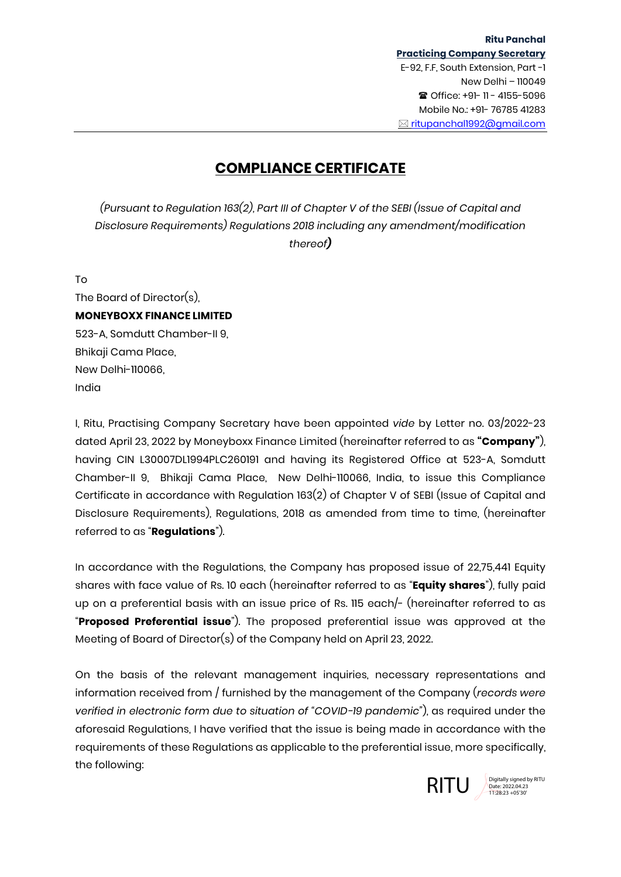## **COMPLIANCE CERTIFICATE**

*(Pursuant to Regulation 163(2), Part III of Chapter V of the SEBI (Issue of Capital and Disclosure Requirements) Regulations 2018 including any amendment/modification thereof)*

To

The Board of Director(s), **MONEYBOXX FINANCE LIMITED** 523-A, Somdutt Chamber-II 9, Bhikaji Cama Place, New Delhi-110066, India

I, Ritu, Practising Company Secretary have been appointed *vide* by Letter no. 03/2022-23 dated April 23, 2022 by Moneyboxx Finance Limited (hereinafter referred to as **"Company"**), having CIN L30007DL1994PLC260191 and having its Registered Office at 523-A, Somdutt Chamber-II 9, Bhikaji Cama Place, New Delhi-110066, India, to issue this Compliance Certificate in accordance with Regulation 163(2) of Chapter V of SEBI (Issue of Capital and Disclosure Requirements), Regulations, 2018 as amended from time to time, (hereinafter referred to as "**Regulations**").

In accordance with the Regulations, the Company has proposed issue of 22,75,441 Equity shares with face value of Rs. 10 each (hereinafter referred to as "**Equity shares**"), fully paid up on a preferential basis with an issue price of Rs. 115 each/- (hereinafter referred to as "**Proposed Preferential issue**"). The proposed preferential issue was approved at the Meeting of Board of Director(s) of the Company held on April 23, 2022.

On the basis of the relevant management inquiries, necessary representations and information received from / furnished by the management of the Company (*records were verified in electronic form due to situation of "COVID-19 pandemic"*), as required under the aforesaid Regulations, I have verified that the issue is being made in accordance with the requirements of these Regulations as applicable to the preferential issue, more specifically, the following:



Date: 2022.04.23 11:28:23 +05'30'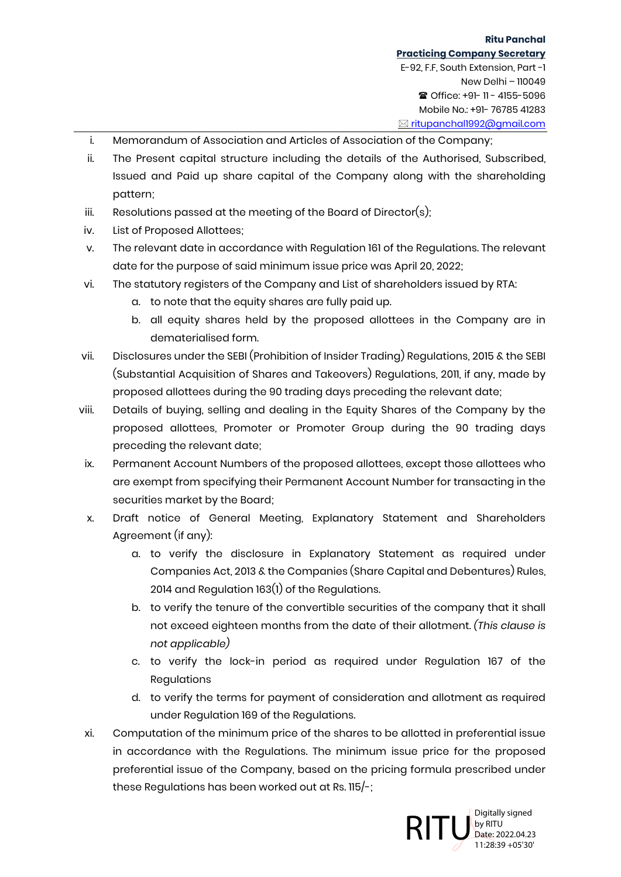- i. Memorandum of Association and Articles of Association of the Company;
- ii. The Present capital structure including the details of the Authorised, Subscribed, Issued and Paid up share capital of the Company along with the shareholding pattern;
- iii. Resolutions passed at the meeting of the Board of Director(s);
- iv. List of Proposed Allottees;
- v. The relevant date in accordance with Regulation 161 of the Regulations. The relevant date for the purpose of said minimum issue price was April 20, 2022;
- vi. The statutory registers of the Company and List of shareholders issued by RTA:
	- a. to note that the equity shares are fully paid up.
	- b. all equity shares held by the proposed allottees in the Company are in dematerialised form.
- vii. Disclosures under the SEBI (Prohibition of Insider Trading) Regulations, 2015 & the SEBI (Substantial Acquisition of Shares and Takeovers) Regulations, 2011, if any, made by proposed allottees during the 90 trading days preceding the relevant date;
- viii. Details of buying, selling and dealing in the Equity Shares of the Company by the proposed allottees, Promoter or Promoter Group during the 90 trading days preceding the relevant date;
- ix. Permanent Account Numbers of the proposed allottees, except those allottees who are exempt from specifying their Permanent Account Number for transacting in the securities market by the Board;
- x. Draft notice of General Meeting, Explanatory Statement and Shareholders Agreement (if any):
	- a. to verify the disclosure in Explanatory Statement as required under Companies Act, 2013 & the Companies (Share Capital and Debentures) Rules, 2014 and Regulation 163(1) of the Regulations.
	- b. to verify the tenure of the convertible securities of the company that it shall not exceed eighteen months from the date of their allotment. *(This clause is not applicable)*
	- c. to verify the lock-in period as required under Regulation 167 of the Regulations
	- d. to verify the terms for payment of consideration and allotment as required under Regulation 169 of the Regulations.
- xi. Computation of the minimum price of the shares to be allotted in preferential issue in accordance with the Regulations. The minimum issue price for the proposed preferential issue of the Company, based on the pricing formula prescribed under these Regulations has been worked out at Rs. 115/-;

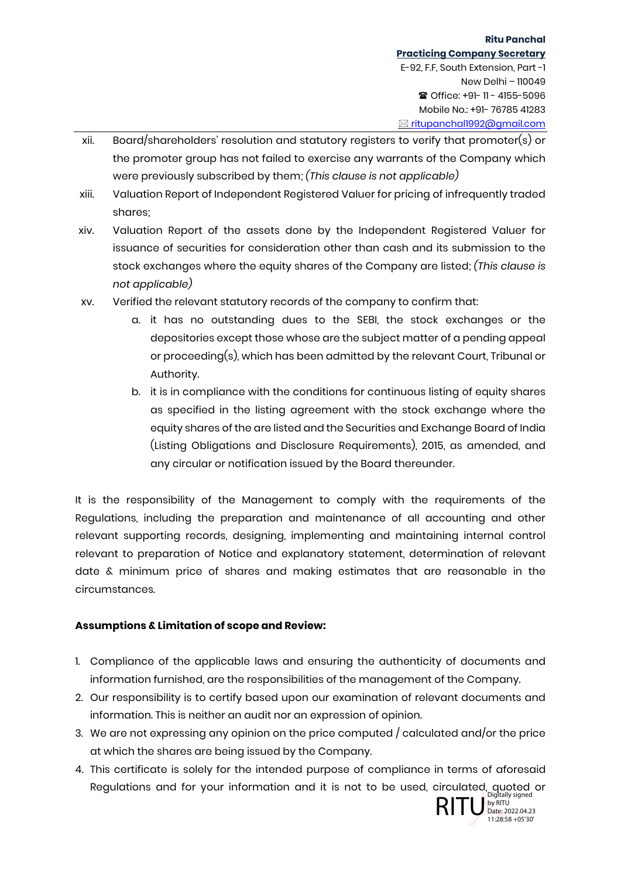- xii. Board/shareholders' resolution and statutory registers to verify that promoter(s) or the promoter group has not failed to exercise any warrants of the Company which were previously subscribed by them; *(This clause is not applicable)*
- xiii. Valuation Report of Independent Registered Valuer for pricing of infrequently traded shares;
- xiv. Valuation Report of the assets done by the Independent Registered Valuer for issuance of securities for consideration other than cash and its submission to the stock exchanges where the equity shares of the Company are listed; *(This clause is not applicable)*
- xv. Verified the relevant statutory records of the company to confirm that:
	- a. it has no outstanding dues to the SEBI, the stock exchanges or the depositories except those whose are the subject matter of a pending appeal or proceeding(s), which has been admitted by the relevant Court, Tribunal or Authority.
	- b. it is in compliance with the conditions for continuous listing of equity shares as specified in the listing agreement with the stock exchange where the equity shares of the are listed and the Securities and Exchange Board of India (Listing Obligations and Disclosure Requirements), 2015, as amended, and any circular or notification issued by the Board thereunder.

It is the responsibility of the Management to comply with the requirements of the Regulations, including the preparation and maintenance of all accounting and other relevant supporting records, designing, implementing and maintaining internal control relevant to preparation of Notice and explanatory statement, determination of relevant date & minimum price of shares and making estimates that are reasonable in the circumstances.

## **Assumptions & Limitation of scope and Review:**

- 1. Compliance of the applicable laws and ensuring the authenticity of documents and information furnished, are the responsibilities of the management of the Company.
- 2. Our responsibility is to certify based upon our examination of relevant documents and information. This is neither an audit nor an expression of opinion.
- 3. We are not expressing any opinion on the price computed / calculated and/or the price at which the shares are being issued by the Company.
- 4. This certificate is solely for the intended purpose of compliance in terms of aforesaid Regulations and for your information and it is not to be used, circulated, quoted or<br>Platally signed by RITU by RITU<br>Diate:2022.04.23